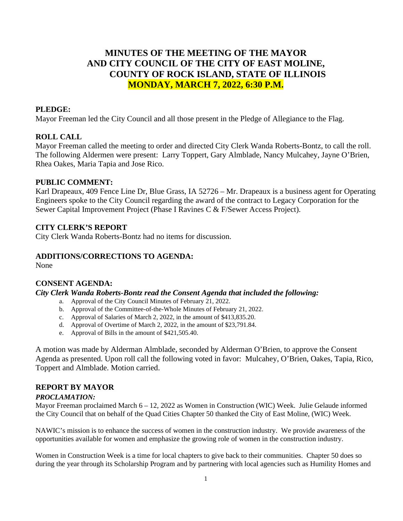# **MINUTES OF THE MEETING OF THE MAYOR AND CITY COUNCIL OF THE CITY OF EAST MOLINE, COUNTY OF ROCK ISLAND, STATE OF ILLINOIS MONDAY, MARCH 7, 2022, 6:30 P.M.**

### **PLEDGE:**

Mayor Freeman led the City Council and all those present in the Pledge of Allegiance to the Flag.

### **ROLL CALL**

Mayor Freeman called the meeting to order and directed City Clerk Wanda Roberts-Bontz, to call the roll. The following Aldermen were present: Larry Toppert, Gary Almblade, Nancy Mulcahey, Jayne O'Brien, Rhea Oakes, Maria Tapia and Jose Rico.

#### **PUBLIC COMMENT:**

Karl Drapeaux, 409 Fence Line Dr, Blue Grass, IA 52726 – Mr. Drapeaux is a business agent for Operating Engineers spoke to the City Council regarding the award of the contract to Legacy Corporation for the Sewer Capital Improvement Project (Phase I Ravines C & F/Sewer Access Project).

### **CITY CLERK'S REPORT**

City Clerk Wanda Roberts-Bontz had no items for discussion.

#### **ADDITIONS/CORRECTIONS TO AGENDA:**

None

### **CONSENT AGENDA:**

### *City Clerk Wanda Roberts-Bontz read the Consent Agenda that included the following:*

- a. Approval of the City Council Minutes of February 21, 2022.
- b. Approval of the Committee-of-the-Whole Minutes of February 21, 2022.
- c. Approval of Salaries of March 2, 2022, in the amount of \$413,835.20.
- d. Approval of Overtime of March 2, 2022, in the amount of \$23,791.84.
- e. Approval of Bills in the amount of \$421,505.40.

A motion was made by Alderman Almblade, seconded by Alderman O'Brien, to approve the Consent Agenda as presented. Upon roll call the following voted in favor: Mulcahey, O'Brien, Oakes, Tapia, Rico, Toppert and Almblade. Motion carried.

# **REPORT BY MAYOR**

#### *PROCLAMATION:*

Mayor Freeman proclaimed March 6 – 12, 2022 as Women in Construction (WIC) Week. Julie Gelaude informed the City Council that on behalf of the Quad Cities Chapter 50 thanked the City of East Moline, (WIC) Week.

NAWIC's mission is to enhance the success of women in the construction industry. We provide awareness of the opportunities available for women and emphasize the growing role of women in the construction industry.

Women in Construction Week is a time for local chapters to give back to their communities. Chapter 50 does so during the year through its Scholarship Program and by partnering with local agencies such as Humility Homes and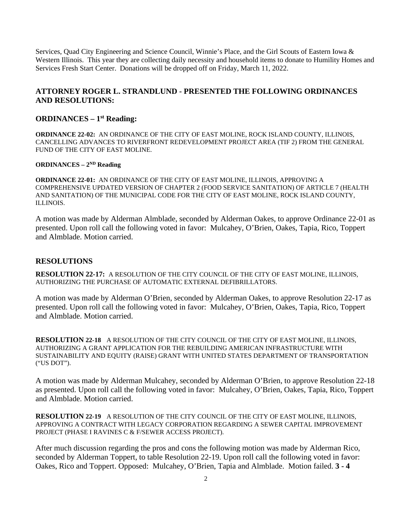Services, Quad City Engineering and Science Council, Winnie's Place, and the Girl Scouts of Eastern Iowa & Western Illinois. This year they are collecting daily necessity and household items to donate to Humility Homes and Services Fresh Start Center. Donations will be dropped off on Friday, March 11, 2022.

## **ATTORNEY ROGER L. STRANDLUND - PRESENTED THE FOLLOWING ORDINANCES AND RESOLUTIONS:**

### **ORDINANCES – 1st Reading:**

**ORDINANCE 22-02:** AN ORDINANCE OF THE CITY OF EAST MOLINE, ROCK ISLAND COUNTY, ILLINOIS, CANCELLING ADVANCES TO RIVERFRONT REDEVELOPMENT PROJECT AREA (TIF 2) FROM THE GENERAL FUND OF THE CITY OF EAST MOLINE.

#### **ORDINANCES – 2ND Reading**

**ORDINANCE 22-01:** AN ORDINANCE OF THE CITY OF EAST MOLINE, ILLINOIS, APPROVING A COMPREHENSIVE UPDATED VERSION OF CHAPTER 2 (FOOD SERVICE SANITATION) OF ARTICLE 7 (HEALTH AND SANITATION) OF THE MUNICIPAL CODE FOR THE CITY OF EAST MOLINE, ROCK ISLAND COUNTY, ILLINOIS.

A motion was made by Alderman Almblade, seconded by Alderman Oakes, to approve Ordinance 22-01 as presented. Upon roll call the following voted in favor: Mulcahey, O'Brien, Oakes, Tapia, Rico, Toppert and Almblade. Motion carried.

### **RESOLUTIONS**

**RESOLUTION 22-17:** A RESOLUTION OF THE CITY COUNCIL OF THE CITY OF EAST MOLINE, ILLINOIS, AUTHORIZING THE PURCHASE OF AUTOMATIC EXTERNAL DEFIBRILLATORS.

A motion was made by Alderman O'Brien, seconded by Alderman Oakes, to approve Resolution 22-17 as presented. Upon roll call the following voted in favor: Mulcahey, O'Brien, Oakes, Tapia, Rico, Toppert and Almblade. Motion carried.

**RESOLUTION 22-18** A RESOLUTION OF THE CITY COUNCIL OF THE CITY OF EAST MOLINE, ILLINOIS, AUTHORIZING A GRANT APPLICATION FOR THE REBUILDING AMERICAN INFRASTRUCTURE WITH SUSTAINABILITY AND EQUITY (RAISE) GRANT WITH UNITED STATES DEPARTMENT OF TRANSPORTATION ("US DOT").

A motion was made by Alderman Mulcahey, seconded by Alderman O'Brien, to approve Resolution 22-18 as presented. Upon roll call the following voted in favor: Mulcahey, O'Brien, Oakes, Tapia, Rico, Toppert and Almblade. Motion carried.

**RESOLUTION 22-19** A RESOLUTION OF THE CITY COUNCIL OF THE CITY OF EAST MOLINE, ILLINOIS, APPROVING A CONTRACT WITH LEGACY CORPORATION REGARDING A SEWER CAPITAL IMPROVEMENT PROJECT (PHASE I RAVINES C & F/SEWER ACCESS PROJECT).

After much discussion regarding the pros and cons the following motion was made by Alderman Rico, seconded by Alderman Toppert, to table Resolution 22-19. Upon roll call the following voted in favor: Oakes, Rico and Toppert. Opposed: Mulcahey, O'Brien, Tapia and Almblade. Motion failed. **3 - 4**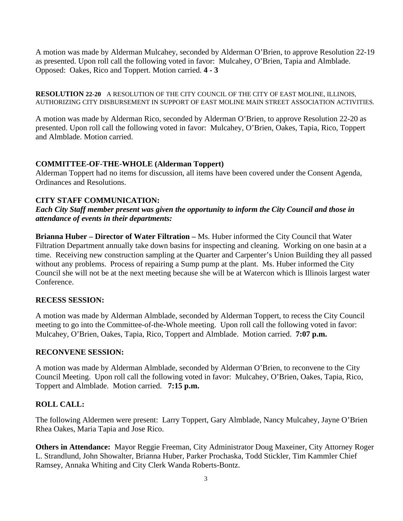A motion was made by Alderman Mulcahey, seconded by Alderman O'Brien, to approve Resolution 22-19 as presented. Upon roll call the following voted in favor: Mulcahey, O'Brien, Tapia and Almblade. Opposed: Oakes, Rico and Toppert. Motion carried. **4 - 3**

**RESOLUTION 22-20** A RESOLUTION OF THE CITY COUNCIL OF THE CITY OF EAST MOLINE, ILLINOIS, AUTHORIZING CITY DISBURSEMENT IN SUPPORT OF EAST MOLINE MAIN STREET ASSOCIATION ACTIVITIES.

A motion was made by Alderman Rico, seconded by Alderman O'Brien, to approve Resolution 22-20 as presented. Upon roll call the following voted in favor: Mulcahey, O'Brien, Oakes, Tapia, Rico, Toppert and Almblade. Motion carried.

### **COMMITTEE-OF-THE-WHOLE (Alderman Toppert)**

Alderman Toppert had no items for discussion, all items have been covered under the Consent Agenda, Ordinances and Resolutions.

# **CITY STAFF COMMUNICATION:**

*Each City Staff member present was given the opportunity to inform the City Council and those in attendance of events in their departments:* 

**Brianna Huber – Director of Water Filtration –** Ms. Huber informed the City Council that Water Filtration Department annually take down basins for inspecting and cleaning. Working on one basin at a time. Receiving new construction sampling at the Quarter and Carpenter's Union Building they all passed without any problems. Process of repairing a Sump pump at the plant. Ms. Huber informed the City Council she will not be at the next meeting because she will be at Watercon which is Illinois largest water Conference.

# **RECESS SESSION:**

A motion was made by Alderman Almblade, seconded by Alderman Toppert, to recess the City Council meeting to go into the Committee-of-the-Whole meeting. Upon roll call the following voted in favor: Mulcahey, O'Brien, Oakes, Tapia, Rico, Toppert and Almblade. Motion carried. **7:07 p.m.**

### **RECONVENE SESSION:**

A motion was made by Alderman Almblade, seconded by Alderman O'Brien, to reconvene to the City Council Meeting. Upon roll call the following voted in favor: Mulcahey, O'Brien, Oakes, Tapia, Rico, Toppert and Almblade. Motion carried. **7:15 p.m.**

# **ROLL CALL:**

The following Aldermen were present: Larry Toppert, Gary Almblade, Nancy Mulcahey, Jayne O'Brien Rhea Oakes, Maria Tapia and Jose Rico.

**Others in Attendance:** Mayor Reggie Freeman, City Administrator Doug Maxeiner, City Attorney Roger L. Strandlund, John Showalter, Brianna Huber, Parker Prochaska, Todd Stickler, Tim Kammler Chief Ramsey, Annaka Whiting and City Clerk Wanda Roberts-Bontz.